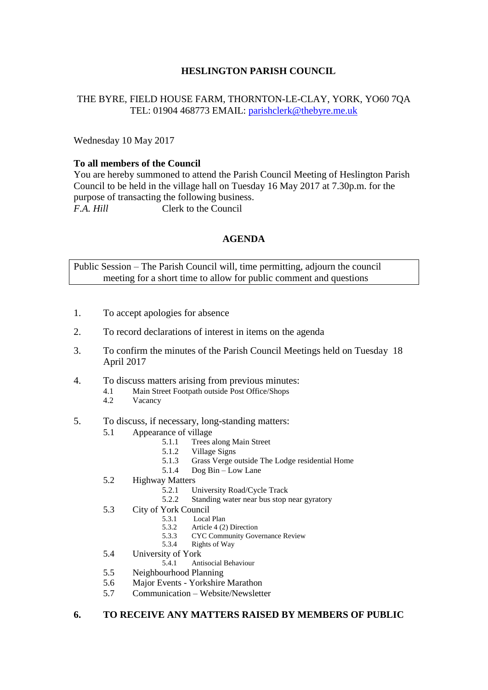# **HESLINGTON PARISH COUNCIL**

## THE BYRE, FIELD HOUSE FARM, THORNTON-LE-CLAY, YORK, YO60 7QA TEL: 01904 468773 EMAIL: [parishclerk@thebyre.me.uk](mailto:parishclerk@thebyre.me.uk)

Wednesday 10 May 2017

### **To all members of the Council**

You are hereby summoned to attend the Parish Council Meeting of Heslington Parish Council to be held in the village hall on Tuesday 16 May 2017 at 7.30p.m. for the purpose of transacting the following business. *F.A. Hill* Clerk to the Council

# **AGENDA**

Public Session – The Parish Council will, time permitting, adjourn the council meeting for a short time to allow for public comment and questions

- 1. To accept apologies for absence
- 2. To record declarations of interest in items on the agenda
- 3. To confirm the minutes of the Parish Council Meetings held on Tuesday 18 April 2017
- 4. To discuss matters arising from previous minutes:
	- 4.1 Main Street Footpath outside Post Office/Shops
	- 4.2 Vacancy
- 5. To discuss, if necessary, long-standing matters:
	- 5.1 Appearance of village
		- 5.1.1 Trees along Main Street
		- 5.1.2 Village Signs
		- 5.1.3 Grass Verge outside The Lodge residential Home<br>5.1.4 Dog Bin Low Lane
		- Dog Bin Low Lane
	- 5.2 Highway Matters
		- 5.2.1 University Road/Cycle Track
		- 5.2.2 Standing water near bus stop near gyratory
	- 5.3 City of York Council
		- 5.3.1 Local Plan<br>5.3.2 Article 4  $(2)$ 
			- Article 4 (2) Direction
		- 5.3.3 CYC Community Governance Review
		- 5.3.4 Rights of Way
	- 5.4 University of York
		- 5.4.1 Antisocial Behaviour
	- 5.5 Neighbourhood Planning
	- 5.6 Major Events Yorkshire Marathon
	- 5.7 Communication Website/Newsletter

#### **6. TO RECEIVE ANY MATTERS RAISED BY MEMBERS OF PUBLIC**